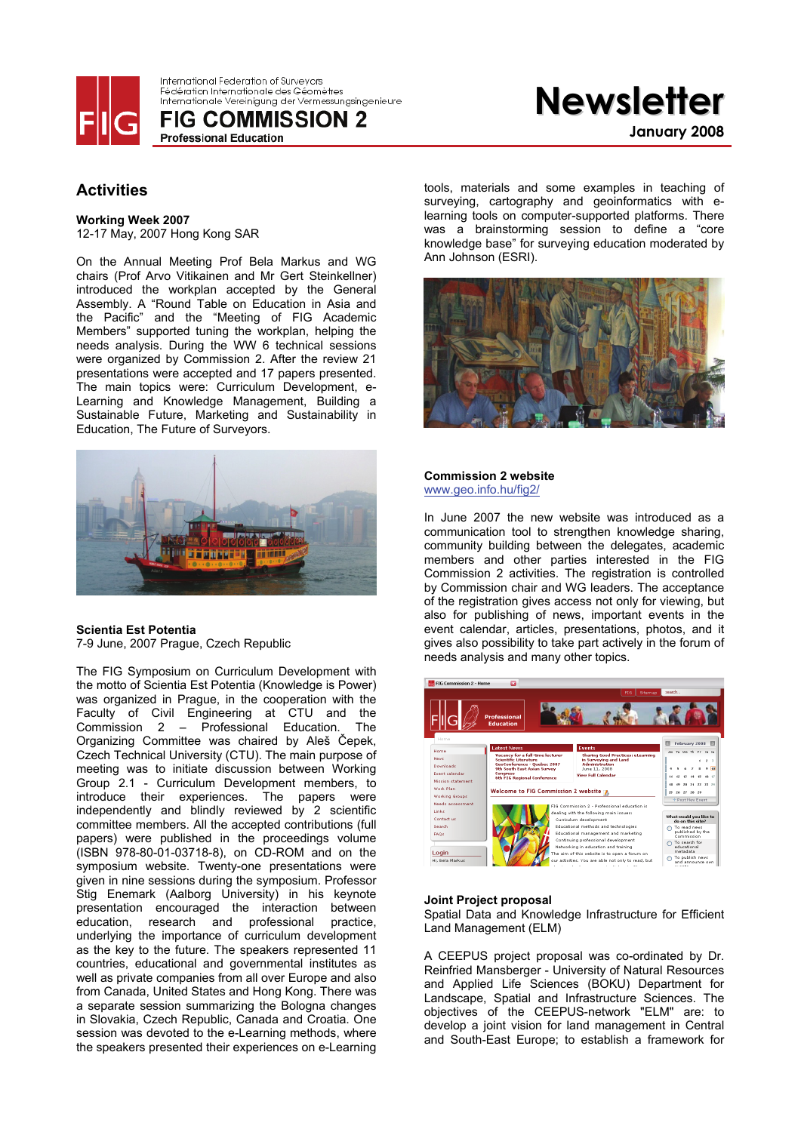

International Federation of Surveyors Fédération Internationale des Géomètres Internationale Vereinigung der Vermessungsingenieure

**FIG COMMISSION 2 Professional Education** 

# **Activities**

**Working Week 2007**  12-17 May, 2007 Hong Kong SAR

On the Annual Meeting Prof Bela Markus and WG chairs (Prof Arvo Vitikainen and Mr Gert Steinkellner) introduced the workplan accepted by the General Assembly. A "Round Table on Education in Asia and the Pacific" and the "Meeting of FIG Academic Members" supported tuning the workplan, helping the needs analysis. During the WW 6 technical sessions were organized by Commission 2. After the review 21 presentations were accepted and 17 papers presented. The main topics were: Curriculum Development, e-Learning and Knowledge Management, Building a Sustainable Future, Marketing and Sustainability in Education, The Future of Surveyors.



#### **Scientia Est Potentia**  7-9 June, 2007 Prague, Czech Republic

The FIG Symposium on Curriculum Development with the motto of Scientia Est Potentia (Knowledge is Power) was organized in Prague, in the cooperation with the Faculty of Civil Engineering at CTU and the Commission 2 – Professional Education. The Organizing Committee was chaired by Aleš Čepek, Czech Technical University (CTU). The main purpose of meeting was to initiate discussion between Working Group 2.1 - Curriculum Development members, to introduce their experiences. The papers were independently and blindly reviewed by 2 scientific committee members. All the accepted contributions (full papers) were published in the proceedings volume (ISBN 978-80-01-03718-8), on CD-ROM and on the symposium website. Twenty-one presentations were given in nine sessions during the symposium. Professor Stig Enemark (Aalborg University) in his keynote presentation encouraged the interaction between education, research and professional practice, underlying the importance of curriculum development as the key to the future. The speakers represented 11 countries, educational and governmental institutes as well as private companies from all over Europe and also from Canada, United States and Hong Kong. There was a separate session summarizing the Bologna changes in Slovakia, Czech Republic, Canada and Croatia. One session was devoted to the e-Learning methods, where the speakers presented their experiences on e-Learning

tools, materials and some examples in teaching of surveying, cartography and geoinformatics with elearning tools on computer-supported platforms. There was a brainstorming session to define a "core knowledge base" for surveying education moderated by Ann Johnson (ESRI).

**Newsletter**

**January 2008**



#### **Commission 2 website**  www.geo.info.hu/fig2/

In June 2007 the new website was introduced as a communication tool to strengthen knowledge sharing, community building between the delegates, academic members and other parties interested in the FIG Commission 2 activities. The registration is controlled by Commission chair and WG leaders. The acceptance of the registration gives access not only for viewing, but also for publishing of news, important events in the event calendar, articles, presentations, photos, and it gives also possibility to take part actively in the forum of needs analysis and many other topics.



#### **Joint Project proposal**

Spatial Data and Knowledge Infrastructure for Efficient Land Management (ELM)

A CEEPUS project proposal was co-ordinated by Dr. Reinfried Mansberger - University of Natural Resources and Applied Life Sciences (BOKU) Department for Landscape, Spatial and Infrastructure Sciences. The objectives of the CEEPUS-network "ELM" are: to develop a joint vision for land management in Central and South-East Europe; to establish a framework for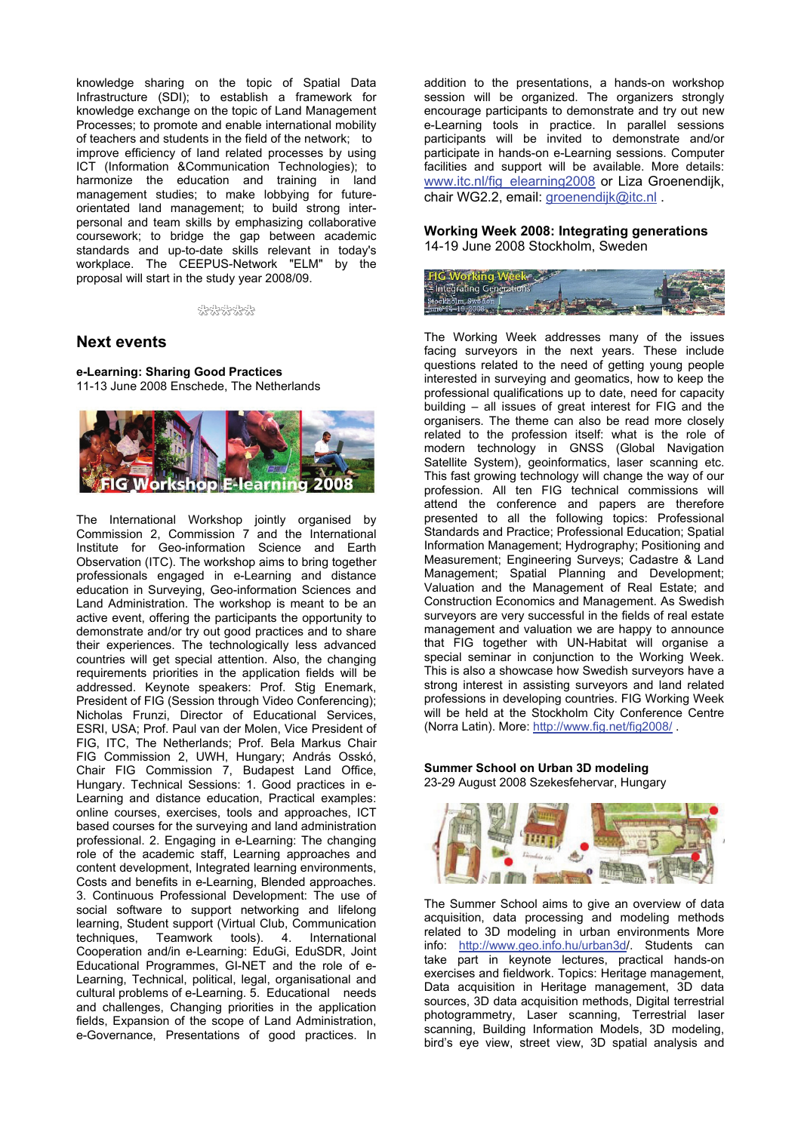knowledge sharing on the topic of Spatial Data Infrastructure (SDI); to establish a framework for knowledge exchange on the topic of Land Management Processes; to promote and enable international mobility of teachers and students in the field of the network; to improve efficiency of land related processes by using ICT (Information &Communication Technologies); to harmonize the education and training in land management studies; to make lobbying for futureorientated land management; to build strong interpersonal and team skills by emphasizing collaborative coursework; to bridge the gap between academic standards and up-to-date skills relevant in today's workplace. The CEEPUS-Network "ELM" by the proposal will start in the study year 2008/09.

#### \*\*\*\*\*\*

### **Next events**

**e-Learning: Sharing Good Practices** 

11-13 June 2008 Enschede, The Netherlands



The International Workshop jointly organised by Commission 2, Commission 7 and the International Institute for Geo-information Science and Earth Observation (ITC). The workshop aims to bring together professionals engaged in e-Learning and distance education in Surveying, Geo-information Sciences and Land Administration. The workshop is meant to be an active event, offering the participants the opportunity to demonstrate and/or try out good practices and to share their experiences. The technologically less advanced countries will get special attention. Also, the changing requirements priorities in the application fields will be addressed. Keynote speakers: Prof. Stig Enemark, President of FIG (Session through Video Conferencing); Nicholas Frunzi, Director of Educational Services, ESRI, USA; Prof. Paul van der Molen, Vice President of FIG, ITC, The Netherlands; Prof. Bela Markus Chair FIG Commission 2, UWH, Hungary; András Osskó, Chair FIG Commission 7, Budapest Land Office, Hungary. Technical Sessions: 1. Good practices in e-Learning and distance education, Practical examples: online courses, exercises, tools and approaches, ICT based courses for the surveying and land administration professional. 2. Engaging in e-Learning: The changing role of the academic staff, Learning approaches and content development, Integrated learning environments, Costs and benefits in e-Learning, Blended approaches. 3. Continuous Professional Development: The use of social software to support networking and lifelong learning, Student support (Virtual Club, Communication techniques, Teamwork tools). 4. International Cooperation and/in e-Learning: EduGi, EduSDR, Joint Educational Programmes, GI-NET and the role of e-Learning, Technical, political, legal, organisational and cultural problems of e-Learning. 5. Educational needs and challenges, Changing priorities in the application fields, Expansion of the scope of Land Administration, e-Governance, Presentations of good practices. In

addition to the presentations, a hands-on workshop session will be organized. The organizers strongly encourage participants to demonstrate and try out new e-Learning tools in practice. In parallel sessions participants will be invited to demonstrate and/or participate in hands-on e-Learning sessions. Computer facilities and support will be available. More details: www.itc.nl/fig\_elearning2008 or Liza Groenendijk, chair WG2.2, email: groenendijk@itc.nl.

#### **Working Week 2008: Integrating generations**  14-19 June 2008 Stockholm, Sweden



The Working Week addresses many of the issues facing surveyors in the next years. These include questions related to the need of getting young people interested in surveying and geomatics, how to keep the professional qualifications up to date, need for capacity building – all issues of great interest for FIG and the organisers. The theme can also be read more closely related to the profession itself: what is the role of modern technology in GNSS (Global Navigation Satellite System), geoinformatics, laser scanning etc. This fast growing technology will change the way of our profession. All ten FIG technical commissions will attend the conference and papers are therefore presented to all the following topics: Professional Standards and Practice; Professional Education; Spatial Information Management; Hydrography; Positioning and Measurement; Engineering Surveys; Cadastre & Land Management; Spatial Planning and Development; Valuation and the Management of Real Estate; and Construction Economics and Management. As Swedish surveyors are very successful in the fields of real estate management and valuation we are happy to announce that FIG together with UN-Habitat will organise a special seminar in conjunction to the Working Week. This is also a showcase how Swedish surveyors have a strong interest in assisting surveyors and land related professions in developing countries. FIG Working Week will be held at the Stockholm City Conference Centre (Norra Latin). More: http://www.fig.net/fig2008/ .

#### **Summer School on Urban 3D modeling**  23-29 August 2008 Szekesfehervar, Hungary



The Summer School aims to give an overview of data acquisition, data processing and modeling methods related to 3D modeling in urban environments More info: http://www.geo.info.hu/urban3d/. Students can take part in keynote lectures, practical hands-on exercises and fieldwork. Topics: Heritage management, Data acquisition in Heritage management, 3D data sources, 3D data acquisition methods, Digital terrestrial photogrammetry, Laser scanning, Terrestrial laser scanning, Building Information Models, 3D modeling, bird's eye view, street view, 3D spatial analysis and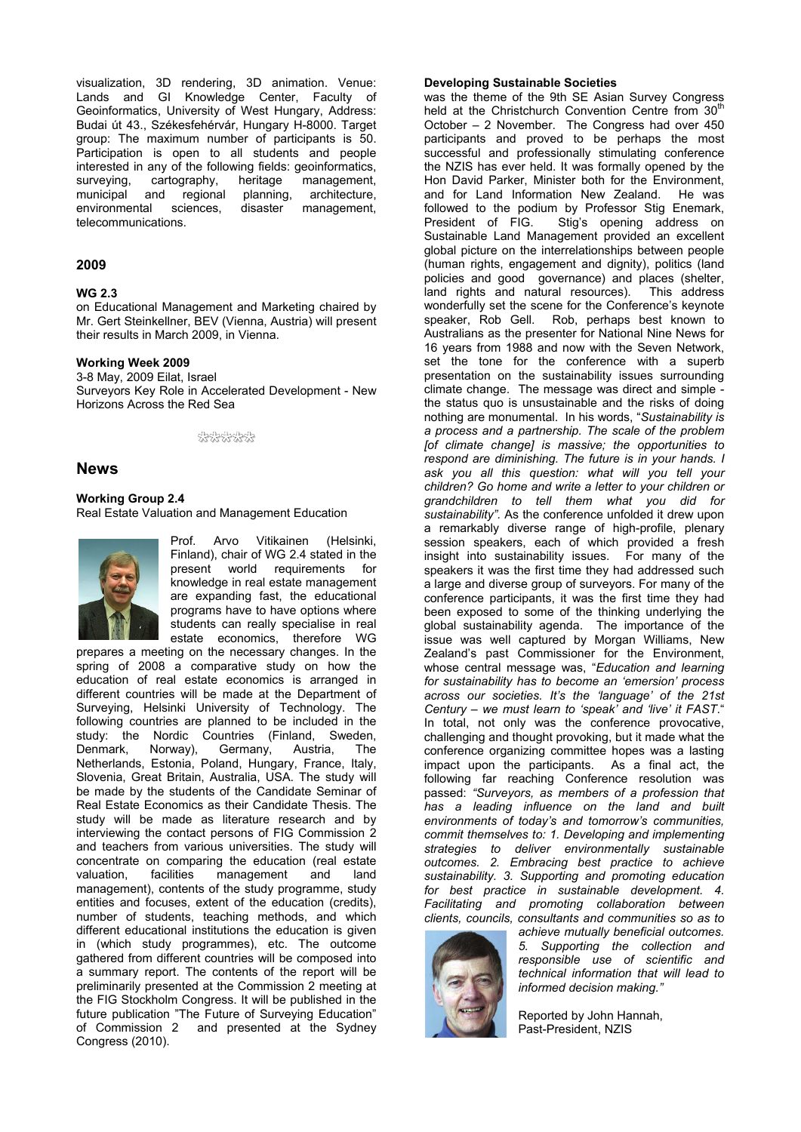visualization, 3D rendering, 3D animation. Venue: Lands and GI Knowledge Center, Faculty of Geoinformatics, University of West Hungary, Address: Budai út 43., Székesfehérvár, Hungary H-8000. Target group: The maximum number of participants is 50. Participation is open to all students and people interested in any of the following fields: geoinformatics, surveying, cartography, heritage management, municipal and regional planning, architecture, environmental sciences, disaster management, telecommunications.

#### **2009**

#### **WG 2.3**

on Educational Management and Marketing chaired by Mr. Gert Steinkellner, BEV (Vienna, Austria) will present their results in March 2009, in Vienna.

#### **Working Week 2009**

3-8 May, 2009 Eilat, Israel Surveyors Key Role in Accelerated Development - New Horizons Across the Red Sea

#### \*\*\*\*\*\*

#### **News**

#### **Working Group 2.4**

Real Estate Valuation and Management Education



Prof. Arvo Vitikainen (Helsinki, Finland), chair of WG 2.4 stated in the present world requirements for knowledge in real estate management are expanding fast, the educational programs have to have options where students can really specialise in real estate economics, therefore WG

prepares a meeting on the necessary changes. In the spring of 2008 a comparative study on how the education of real estate economics is arranged in different countries will be made at the Department of Surveying, Helsinki University of Technology. The following countries are planned to be included in the study: the Nordic Countries (Finland, Sweden, Denmark, Norway), Germany, Austria, The Netherlands, Estonia, Poland, Hungary, France, Italy, Slovenia, Great Britain, Australia, USA. The study will be made by the students of the Candidate Seminar of Real Estate Economics as their Candidate Thesis. The study will be made as literature research and by interviewing the contact persons of FIG Commission 2 and teachers from various universities. The study will concentrate on comparing the education (real estate valuation, facilities management and land management), contents of the study programme, study entities and focuses, extent of the education (credits), number of students, teaching methods, and which different educational institutions the education is given in (which study programmes), etc. The outcome gathered from different countries will be composed into a summary report. The contents of the report will be preliminarily presented at the Commission 2 meeting at the FIG Stockholm Congress. It will be published in the future publication "The Future of Surveying Education" of Commission 2 and presented at the Sydney Congress (2010).

#### **Developing Sustainable Societies**

was the theme of the 9th SE Asian Survey Congress held at the Christchurch Convention Centre from 30<sup>th</sup> October – 2 November. The Congress had over 450 participants and proved to be perhaps the most successful and professionally stimulating conference the NZIS has ever held. It was formally opened by the Hon David Parker, Minister both for the Environment, and for Land Information New Zealand. He was followed to the podium by Professor Stig Enemark, President of FIG. Stig's opening address on Sustainable Land Management provided an excellent global picture on the interrelationships between people (human rights, engagement and dignity), politics (land policies and good governance) and places (shelter, land rights and natural resources). This address wonderfully set the scene for the Conference's keynote speaker, Rob Gell. Rob, perhaps best known to Australians as the presenter for National Nine News for 16 years from 1988 and now with the Seven Network, set the tone for the conference with a superb presentation on the sustainability issues surrounding climate change. The message was direct and simple the status quo is unsustainable and the risks of doing nothing are monumental. In his words, "*Sustainability is a process and a partnership. The scale of the problem [of climate change] is massive; the opportunities to respond are diminishing. The future is in your hands. I ask you all this question: what will you tell your children? Go home and write a letter to your children or grandchildren to tell them what you did for sustainability".* As the conference unfolded it drew upon a remarkably diverse range of high-profile, plenary session speakers, each of which provided a fresh insight into sustainability issues. For many of the speakers it was the first time they had addressed such a large and diverse group of surveyors. For many of the conference participants, it was the first time they had been exposed to some of the thinking underlying the global sustainability agenda. The importance of the issue was well captured by Morgan Williams, New Zealand's past Commissioner for the Environment, whose central message was, "*Education and learning for sustainability has to become an 'emersion' process across our societies. It's the 'language' of the 21st Century – we must learn to 'speak' and 'live' it FAST*." In total, not only was the conference provocative, challenging and thought provoking, but it made what the conference organizing committee hopes was a lasting impact upon the participants. As a final act, the following far reaching Conference resolution was passed: *"Surveyors, as members of a profession that has a leading influence on the land and built environments of today's and tomorrow's communities, commit themselves to: 1. Developing and implementing strategies to deliver environmentally sustainable outcomes. 2. Embracing best practice to achieve sustainability. 3. Supporting and promoting education for best practice in sustainable development. 4. Facilitating and promoting collaboration between clients, councils, consultants and communities so as to* 



*achieve mutually beneficial outcomes. 5. Supporting the collection and responsible use of scientific and technical information that will lead to informed decision making."*

Reported by John Hannah, Past-President, NZIS